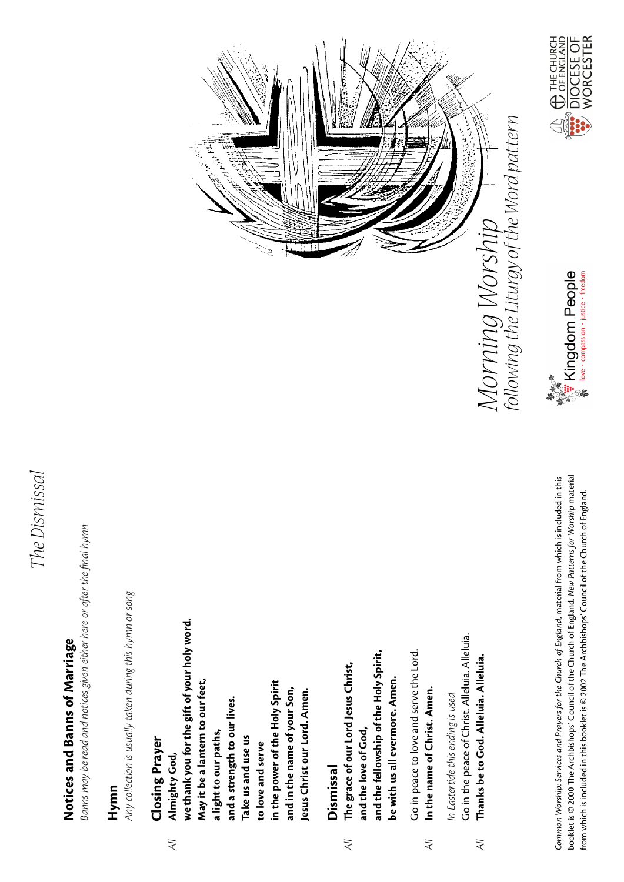### The Dismissal *The Dismissal*

# Notices and Banns of Marriage **Notices and Banns of Marriage**

Banns may be read and notices given either here or after the final hymn Banns may be read and notices given either here or after the final hymn

### **Hymn**

Any collection is usually taken during this hymn or song *Any collection is usually taken during this hymn or song*

### **Closing Prayer Closing Prayer**

 $\overline{\mathcal{A}}$   $\overline{\mathcal{U}}$ 

we thank you for the gift of your holy word. **we thank you for the gift of your holy word.** May it be a lantern to our feet, **May it be a lantern to our feet,** in the power of the Holy Spirit **in the power of the Holy Spirit** and in the name of your Son, lesus Christ our Lord. Amen. **and in the name of your Son, Jesus Christ our Lord. Amen.** and a strength to our lives. **and a strength to our lives.** a light to our paths, **a light to our paths,** Take us and use us **Take us and use us** to love and serve **to love and serve** Almighty God, *All* **Almighty God,**

#### Dismissal **Dismissal**

and the fellowship of the Holy Spirit, **and the fellowship of the Holy Spirit,** The grace of our Lord Jesus Christ, *All* **Te grace of our Lord Jesus Christ,** be with us all evermore. Amen. **be with us all evermore. Amen.** and the love of God, **and the love of God,**  $\overline{\lambda}$ 

Go in peace to love and serve the Lord. Go in peace to love and serve the Lord. In the name of Christ. Amen. *All* **In the name of Christ. Amen.**  $\lambda$ ll

Go in the peace of Christ. Alleluia. Alleluia. Go in the peace of Christ. Alleluia. Alleluia. Thanks be to God. Alleluia. Alleluia. *All* **Tanks be to God. Alleluia. Alleluia.** In Eastertide this ending is used *In Eastertide this ending is used*  $\overline{4}$ 

booklet is © 2000 The Archbishops' Council of the Church of England. New Patterns for Worship material Common Worship: Services and Prayers for the Church of England, material from which is included in this booklet is © 2000 Te Archbishops' Council of the Church of England. *New Patterns for Worship* material Common Worship: Services and Prayers for the Church of England, material from which is included in this from which is included in this booklet is @ 2002 The Archbishops' Council of the Church of England. from which is included in this booklet is © 2002 Te Archbishops' Council of the Church of England.





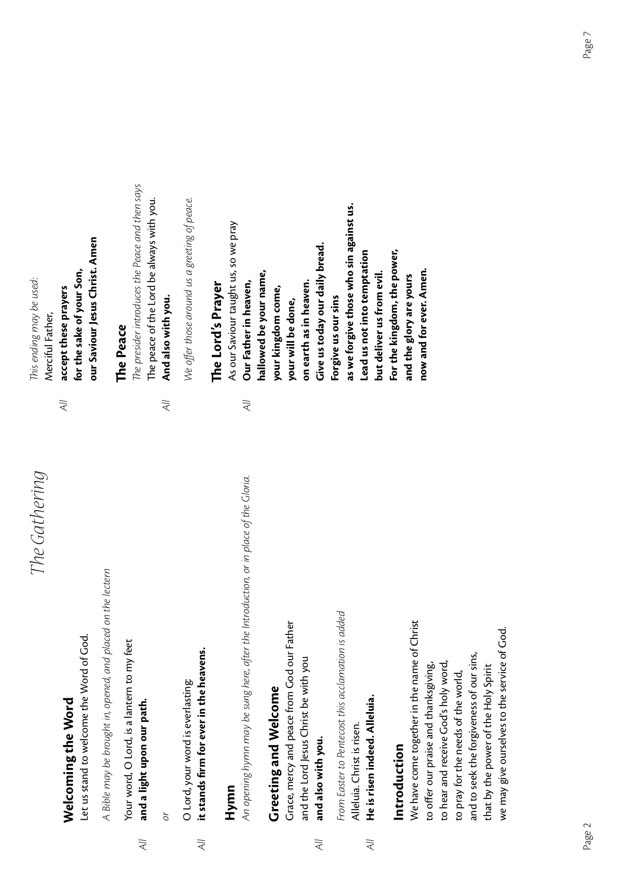## The Gathering *The Gathering*

## Welcoming the Word **Welcoming the Word**

Let us stand to welcome the Word of God. Let us stand to welcome the Word of God.

A Bible may be brought in, opened, and placed on the lectern *A Bible may be brought in, opened, and placed on the lectern*

Your word, O Lord, is a lantern to my feet Your word, O Lord, is a lantern to my feet and a light upon our path. *All* **and a light upon our path.**  $\overline{4}$ 

*or*

O Lord, your word is everlasting: O Lord, your word is everlasting:

it stands firm for ever in the heavens. *All* **it stands firm for ever in the heavens.**  $\lambda$ ll

### **Hymn**

An opening hymn may be sung here, after the Introduction, or in place of the Gloria. An opening hymn may be sung here, after the Introduction, or in place of the Gloria.

## Greeting and Welcome **Greeting and Welcome**

Grace, mercy and peace from God our Father Grace, mercy and peace from God our Father and the Lord Jesus Christ be with you and the Lord Jesus Christ be with you

and also with you. *All* **and also with you.**  $\overline{\lambda}$ 

From Easter to Pentecost this acclamation is added *From Easter to Pentecost this acclamation is added* Alleluia. Christ is risen. Alleluia. Christ is risen.

He is risen indeed. Alleluia. *All* **He is risen indeed. Alleluia.**  $\overline{A}$ 

#### ntroduction **Introduction**

We have come together in the name of Christ We have come together in the name of Christ we may give ourselves to the service of God. we may give ourselves to the service of God. and to seek the forgiveness of our sins, and to seek the forgiveness of our sins, to hear and receive God's holy word, that by the power of the Holy Spirit to offer our praise and thanksgiving, to hear and receive God's holy word, to offer our praise and thanksgiving, that by the power of the Holy Spirit to pray for the needs of the world, to pray for the needs of the world,

our Saviour Jesus Christ. Amen **our Saviour Jesus Christ. Amen** for the sake of your Son, **for the sake of your Son,** This ending may be used: T*is ending may be used:* accept these prayers *All* **accept these prayers** Merciful Father, Merciful Father,

 $\overline{\lambda}$ 

#### The Peace **Te Peace**

The presider introduces the Peace and then says T*e presider introduces the Peace and then says* The peace of the Lord be always with you. The peace of the Lord be always with you. And also with you. *All* **And also with you.**

 $\overline{\lambda}$ 

Ne offer those around us a greeting of peace. *We o*ff*er those around us a greeting of peace.*

## The Lord's Prayer **Te Lord's Prayer**

as we forgive those who sin against us. **as we forgive those who sin against us.** As our Saviour taught us, so we pray As our Saviour taught us, so we pray Give us today our daily bread. **Give us today our daily bread.** For the kingdom, the power, Lead us not into temptation **Lead us not into temptation For the kingdom, the power,** nallowed be your name, **hallowed be your name,** but deliver us from evil. **but deliver us from evil.** and the glory are yours **and the glory are yours** Our Father in heaven, on earth as in heaven. *All* **Our Father in heaven, on earth as in heaven.** your kingdom come, **your kingdom come,** Forgive us our sins your will be done, **Forgive us our sins your will be done,**  $\overline{\lambda}$ 

**now and for ever. Amen.**

now and for ever. Amen.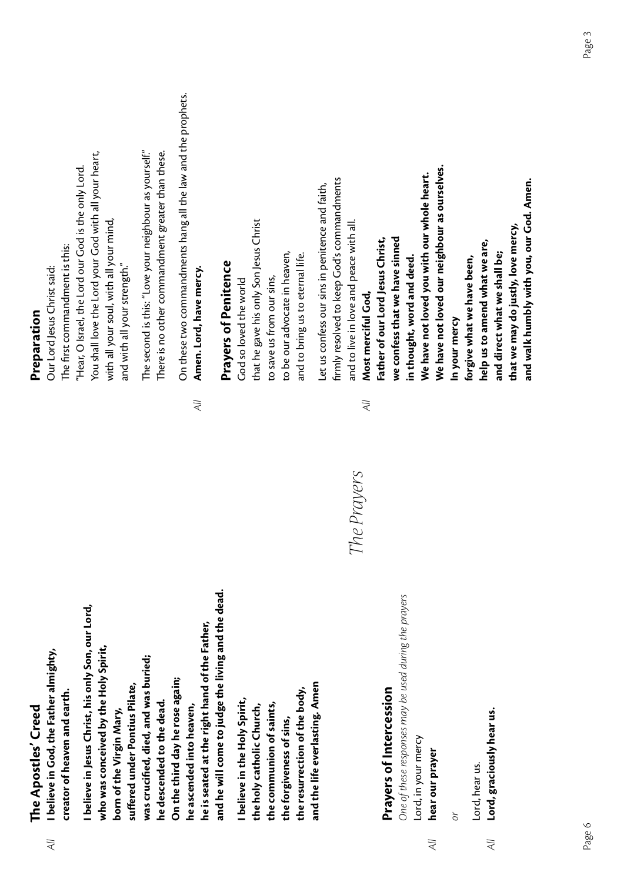| Creed    |  |
|----------|--|
|          |  |
|          |  |
|          |  |
|          |  |
|          |  |
| Apostles |  |
|          |  |
|          |  |
|          |  |
|          |  |
|          |  |
|          |  |
|          |  |
| The<br>T |  |
|          |  |
|          |  |
|          |  |
|          |  |

 $\overline{\lambda}$ 

I believe in God, the Father almighty, *All* **I believe in God, the Father almighty,** creator of heaven and earth. **creator of heaven and earth.**

and he will come to judge the living and the dead. **and he will come to judge the living and the dead.** believe in Jesus Christ, his only Son, our Lord, **I believe in Jesus Christ, his only Son, our Lord,** he is seated at the right hand of the Father, **he is seated at the right hand of the Father, who was conceived by the Holy Spirit,** who was conceived by the Holy Spirit, was crucified, died, and was buried; **was crucified, died, and was buried;** On the third day he rose again; **On the third day he rose again;** suffered under Pontius Pilate, **suffered under Pontius Pilate,** he descended to the dead. **he descended to the dead.** he ascended into heaven, **he ascended into heaven,** born of the Virgin Mary, **born of the Virgin Mary,**

and the life everlasting. Amen **and the life everlasting. Amen** the resurrection of the body, **the resurrection of the body,** I believe in the Holy Spirit, **I believe in the Holy Spirit,** the communion of saints, **the communion of saints,** the holy catholic Church, **the holy catholic Church,** the forgiveness of sins, **the forgiveness of sins,**

# *The Prayers*

 $\overline{\lambda}$ 

## **Prayers of Intercession Prayers of Intercession**

One of these responses may be used during the prayers *One of these responses may be used during the prayers* Lord, in your mercy Lord, in your mercy

hear our prayer *All* **hear our prayer**  $\overline{A}$ 

*or*

Lord, hear us. Lord, hear us.

Lord, graciously hear us. *All* **Lord, graciously hear us.**  $\overline{\overline{A}}$ 

#### Preparation **Preparation**

You shall love the Lord your God with all your heart, You shall love the Lord your God with all your heart, Hear, O Israel, the Lord our God is the only Lord. "Hear, O Israel, the Lord our God is the only Lord. with all your soul, with all your mind, with all your soul, with all your mind, The first commandment is this: Te first commandment is this: and with all your strength." and with all your strength." Our Lord Jesus Christ said: Our Lord Jesus Christ said:

The second is this: "Love your neighbour as yourself." The second is this: "Love your neighbour as yourself."  $\;$ There is no other commandment greater than these. Tere is no other commandment greater than these. On these two commandments hang all the law and the prophets. On these two commandments hang all the law and the prophets. Amen. Lord, have mercy. *All* **Amen. Lord, have mercy.**

## **Prayers of Penitence Prayers of Penitence**

 $\lambda$ ll

that he gave his only Son Jesus Christ that he gave his only Son Jesus Christ to be our advocate in heaven, to be our advocate in heaven, and to bring us to eternal life. and to bring us to eternal life. to save us from our sins, God so loved the world to save us from our sins, God so loved the world

firmly resolved to keep God's commandments firmly resolved to keep God's commandments et us confess our sins in penitence and faith, Let us confess our sins in penitence and faith, and to live in love and peace with all. and to live in love and peace with all. Most merciful God, *All* **Most merciful God,**

We have not loved our neighbour as ourselves. **We have not loved our neighbour as ourselves.** We have not loved you with our whole heart. **We have not loved you with our whole heart.** and walk humbly with you, our God. Amen. **and walk humbly with you, our God. Amen.**that we may do justly, love mercy, **that we may do justly, love mercy,** we confess that we have sinned -ather of our Lord Jesus Christ, **Father of our Lord Jesus Christ, we confess that we have sinned** help us to amend what we are, **help us to amend what we are,** and direct what we shall be; **and direct what we shall be;** forgive what we have been, n thought, word and deed. **in thought, word and deed. forgive what we have been,** In your mercy **In your mercy**